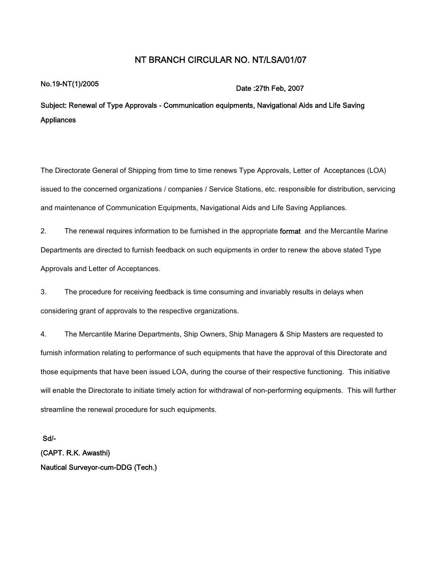## **NT BRANCH CIRCULAR NO. NT/LSA/01/07**

## **No.19-NT(1)/2005 Date :27th Feb, <sup>2007</sup>**

**Subject: Renewal of Type Approvals - Communication equipments, Navigational Aids and Life Saving Appliances**

The Directorate General of Shipping from time to time renews Type Approvals, Letter of Acceptances (LOA) issued to the concerned organizations / companies / Service Stations, etc. responsible for distribution, servicing and maintenance of Communication Equipments, Navigational Aids and Life Saving Appliances.

2. The renewal requires information to be furnished in the appropriate **format** and the Mercantile Marine Departments are directed to furnish feedback on such equipments in order to renew the above stated Type Approvals and Letter of Acceptances.

3. The procedure for receiving feedback is time consuming and invariably results in delays when considering grant of approvals to the respective organizations.

4. The Mercantile Marine Departments, Ship Owners, Ship Managers & Ship Masters are requested to furnish information relating to performance of such equipments that have the approval of this Directorate and those equipments that have been issued LOA, during the course of their respective functioning. This initiative will enable the Directorate to initiate timely action for withdrawal of non-performing equipments. This will further streamline the renewal procedure for such equipments.

**Sd/- (CAPT. R.K. Awasthi) Nautical Surveyor-cum-DDG (Tech.)**